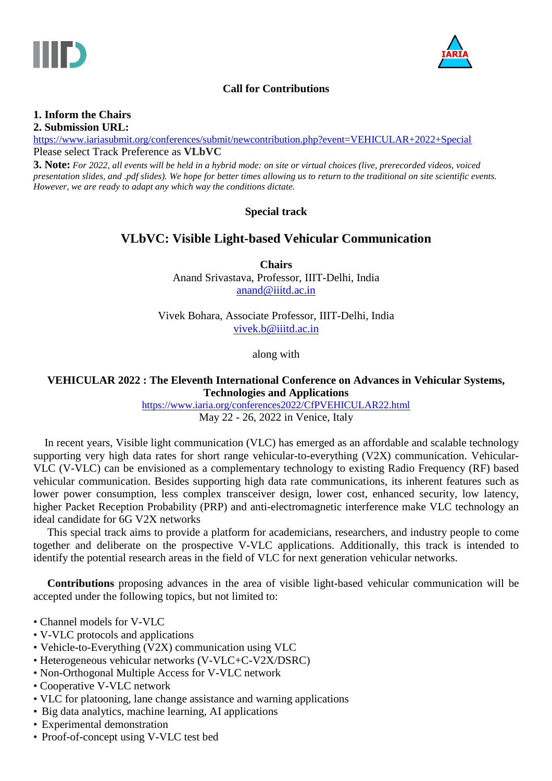



# **Call for Contributions**

## **1. Inform the Chairs**

**2. Submission URL:**

<https://www.iariasubmit.org/conferences/submit/newcontribution.php?event=VEHICULAR+2022+Special> Please select Track Preference as **VLbVC**

**3. Note:** *For 2022, all events will be held in a hybrid mode: on site or virtual choices (live, prerecorded videos, voiced presentation slides, and .pdf slides). We hope for better times allowing us to return to the traditional on site scientific events. However, we are ready to adapt any which way the conditions dictate.*

#### **Special track**

# **VLbVC: Visible Light-based Vehicular Communication**

**Chairs** Anand Srivastava, Professor, IIIT-Delhi, India [anand@iiitd.ac.in](mailto:anand@iiitd.ac.in)

Vivek Bohara, Associate Professor, IIIT-Delhi, India [vivek.b@iiitd.ac.in](mailto:vivek.b@iiitd.ac.in)

along with

#### **VEHICULAR 2022 : The Eleventh International Conference on Advances in Vehicular Systems, Technologies and Applications**

<https://www.iaria.org/conferences2022/CfPVEHICULAR22.html> May 22 - 26, 2022 in Venice, Italy

In recent years, Visible light communication (VLC) has emerged as an affordable and scalable technology supporting very high data rates for short range vehicular-to-everything (V2X) communication. Vehicular-VLC (V-VLC) can be envisioned as a complementary technology to existing Radio Frequency (RF) based vehicular communication. Besides supporting high data rate communications, its inherent features such as lower power consumption, less complex transceiver design, lower cost, enhanced security, low latency, higher Packet Reception Probability (PRP) and anti-electromagnetic interference make VLC technology an ideal candidate for 6G V2X networks

This special track aims to provide a platform for academicians, researchers, and industry people to come together and deliberate on the prospective V-VLC applications. Additionally, this track is intended to identify the potential research areas in the field of VLC for next generation vehicular networks.

**Contributions** proposing advances in the area of visible light-based vehicular communication will be accepted under the following topics, but not limited to:

- Channel models for V-VLC
- V-VLC protocols and applications
- Vehicle-to-Everything (V2X) communication using VLC
- Heterogeneous vehicular networks (V-VLC+C-V2X/DSRC)
- Non-Orthogonal Multiple Access for V-VLC network
- Cooperative V-VLC network
- VLC for platooning, lane change assistance and warning applications
- Big data analytics, machine learning, AI applications
- Experimental demonstration
- Proof-of-concept using V-VLC test bed